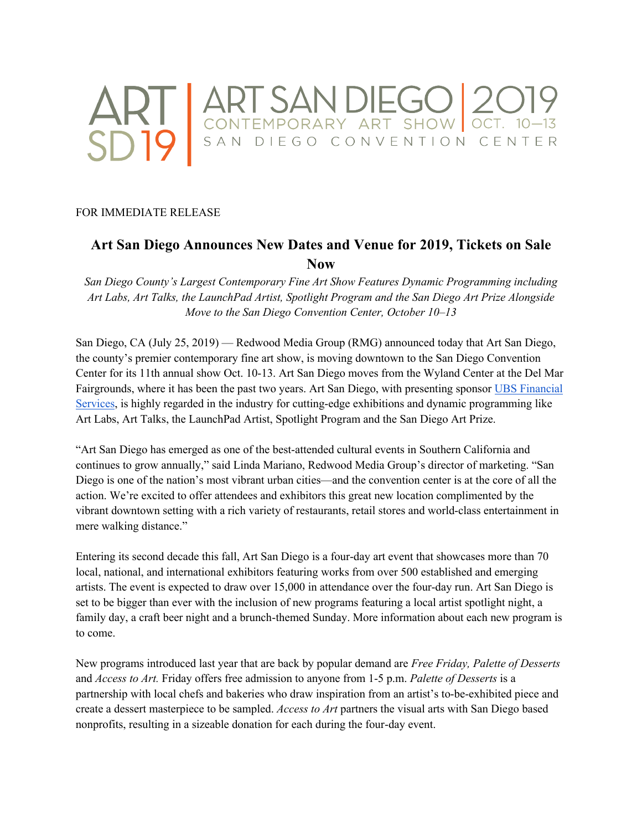

## FOR IMMEDIATE RELEASE

# **Art San Diego Announces New Dates and Venue for 2019, Tickets on Sale Now**

*San Diego County's Largest Contemporary Fine Art Show Features Dynamic Programming including Art Labs, Art Talks, the LaunchPad Artist, Spotlight Program and the San Diego Art Prize Alongside Move to the San Diego Convention Center, October 10–13*

San Diego, CA (July 25, 2019) — Redwood Media Group (RMG) announced today that Art San Diego, the county's premier contemporary fine art show, is moving downtown to the San Diego Convention Center for its 11th annual show Oct. 10-13. Art San Diego moves from the Wyland Center at the Del Mar Fairgrounds, where it has been the past two years. Art San Diego, with presenting sponsor UBS Financial Services, is highly regarded in the industry for cutting-edge exhibitions and dynamic programming like Art Labs, Art Talks, the LaunchPad Artist, Spotlight Program and the San Diego Art Prize.

"Art San Diego has emerged as one of the best-attended cultural events in Southern California and continues to grow annually," said Linda Mariano, Redwood Media Group's director of marketing. "San Diego is one of the nation's most vibrant urban cities—and the convention center is at the core of all the action. We're excited to offer attendees and exhibitors this great new location complimented by the vibrant downtown setting with a rich variety of restaurants, retail stores and world-class entertainment in mere walking distance."

Entering its second decade this fall, Art San Diego is a four-day art event that showcases more than 70 local, national, and international exhibitors featuring works from over 500 established and emerging artists. The event is expected to draw over 15,000 in attendance over the four-day run. Art San Diego is set to be bigger than ever with the inclusion of new programs featuring a local artist spotlight night, a family day, a craft beer night and a brunch-themed Sunday. More information about each new program is to come.

New programs introduced last year that are back by popular demand are *Free Friday, Palette of Desserts* and *Access to Art.* Friday offers free admission to anyone from 1-5 p.m. *Palette of Desserts* is a partnership with local chefs and bakeries who draw inspiration from an artist's to-be-exhibited piece and create a dessert masterpiece to be sampled. *Access to Art* partners the visual arts with San Diego based nonprofits, resulting in a sizeable donation for each during the four-day event.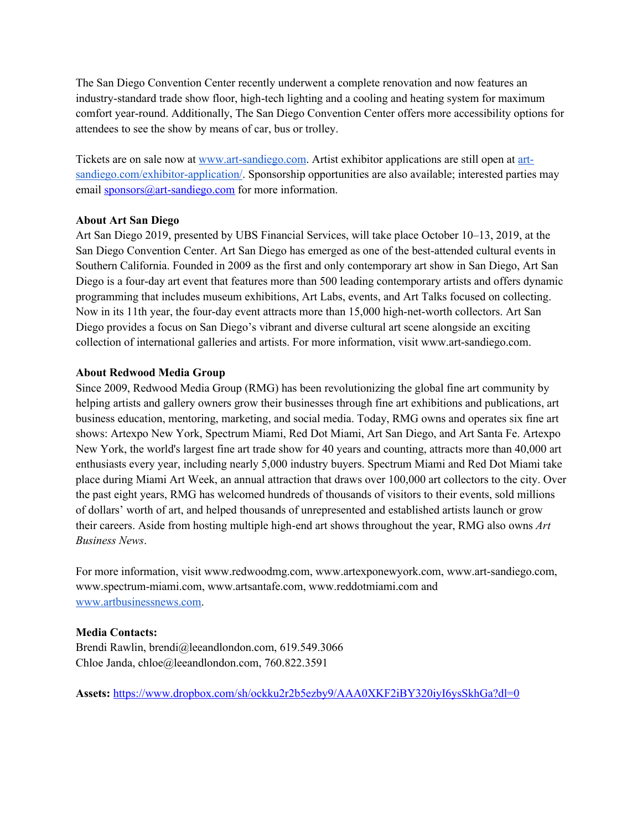The San Diego Convention Center recently underwent a complete renovation and now features an industry-standard trade show floor, high-tech lighting and a cooling and heating system for maximum comfort year-round. Additionally, The San Diego Convention Center offers more accessibility options for attendees to see the show by means of car, bus or trolley.

Tickets are on sale now at www.art-sandiego.com. Artist exhibitor applications are still open at artsandiego.com/exhibitor-application/. Sponsorship opportunities are also available; interested parties may email **sponsors**@art-sandiego.com for more information.

## **About Art San Diego**

Art San Diego 2019, presented by UBS Financial Services, will take place October 10–13, 2019, at the San Diego Convention Center. Art San Diego has emerged as one of the best-attended cultural events in Southern California. Founded in 2009 as the first and only contemporary art show in San Diego, Art San Diego is a four-day art event that features more than 500 leading contemporary artists and offers dynamic programming that includes museum exhibitions, Art Labs, events, and Art Talks focused on collecting. Now in its 11th year, the four-day event attracts more than 15,000 high-net-worth collectors. Art San Diego provides a focus on San Diego's vibrant and diverse cultural art scene alongside an exciting collection of international galleries and artists. For more information, visit www.art-sandiego.com.

## **About Redwood Media Group**

Since 2009, Redwood Media Group (RMG) has been revolutionizing the global fine art community by helping artists and gallery owners grow their businesses through fine art exhibitions and publications, art business education, mentoring, marketing, and social media. Today, RMG owns and operates six fine art shows: Artexpo New York, Spectrum Miami, Red Dot Miami, Art San Diego, and Art Santa Fe. Artexpo New York, the world's largest fine art trade show for 40 years and counting, attracts more than 40,000 art enthusiasts every year, including nearly 5,000 industry buyers. Spectrum Miami and Red Dot Miami take place during Miami Art Week, an annual attraction that draws over 100,000 art collectors to the city. Over the past eight years, RMG has welcomed hundreds of thousands of visitors to their events, sold millions of dollars' worth of art, and helped thousands of unrepresented and established artists launch or grow their careers. Aside from hosting multiple high-end art shows throughout the year, RMG also owns *Art Business News*.

For more information, visit www.redwoodmg.com, www.artexponewyork.com, www.art-sandiego.com, www.spectrum-miami.com, www.artsantafe.com, www.reddotmiami.com and www.artbusinessnews.com.

## **Media Contacts:**

Brendi Rawlin, brendi@leeandlondon.com, 619.549.3066 Chloe Janda, chloe@leeandlondon.com, 760.822.3591

**Assets:** https://www.dropbox.com/sh/ockku2r2b5ezby9/AAA0XKF2iBY320iyI6ysSkhGa?dl=0